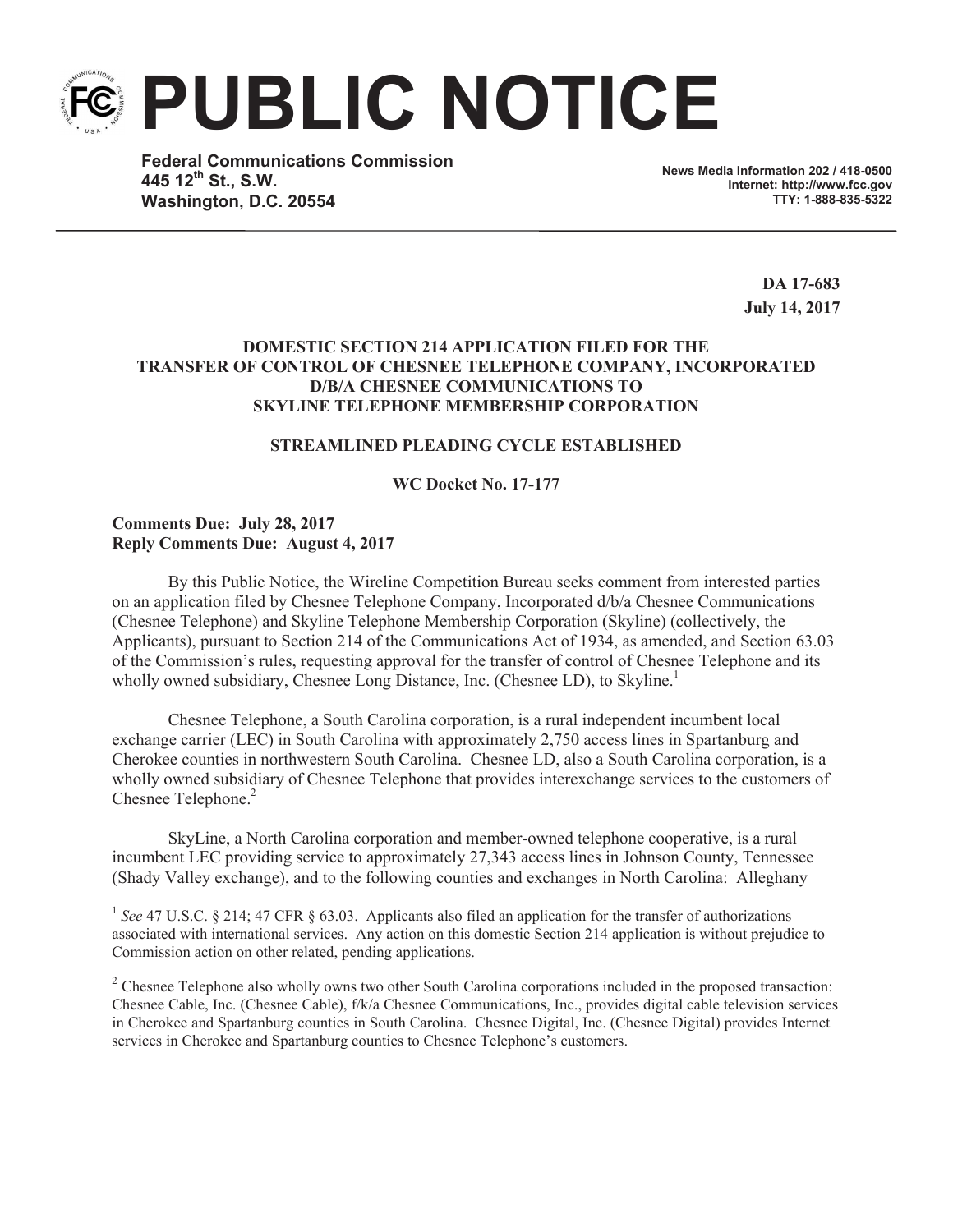

**Federal Communications Commission 445 12th St., S.W. Washington, D.C. 20554**

**News Media Information 202 / 418-0500 Internet: http://www.fcc.gov TTY: 1-888-835-5322**

> **DA 17-683 July 14, 2017**

## **DOMESTIC SECTION 214 APPLICATION FILED FOR THE TRANSFER OF CONTROL OF CHESNEE TELEPHONE COMPANY, INCORPORATED D/B/A CHESNEE COMMUNICATIONS TO SKYLINE TELEPHONE MEMBERSHIP CORPORATION**

## **STREAMLINED PLEADING CYCLE ESTABLISHED**

## **WC Docket No. 17-177**

# **Comments Due: July 28, 2017 Reply Comments Due: August 4, 2017**

By this Public Notice, the Wireline Competition Bureau seeks comment from interested parties on an application filed by Chesnee Telephone Company, Incorporated d/b/a Chesnee Communications (Chesnee Telephone) and Skyline Telephone Membership Corporation (Skyline) (collectively, the Applicants), pursuant to Section 214 of the Communications Act of 1934, as amended, and Section 63.03 of the Commission's rules, requesting approval for the transfer of control of Chesnee Telephone and its wholly owned subsidiary, Chesnee Long Distance, Inc. (Chesnee LD), to Skyline.<sup>1</sup>

Chesnee Telephone, a South Carolina corporation, is a rural independent incumbent local exchange carrier (LEC) in South Carolina with approximately 2,750 access lines in Spartanburg and Cherokee counties in northwestern South Carolina. Chesnee LD, also a South Carolina corporation, is a wholly owned subsidiary of Chesnee Telephone that provides interexchange services to the customers of Chesnee Telephone.<sup>2</sup>

SkyLine, a North Carolina corporation and member-owned telephone cooperative, is a rural incumbent LEC providing service to approximately 27,343 access lines in Johnson County, Tennessee (Shady Valley exchange), and to the following counties and exchanges in North Carolina: Alleghany

 $2^2$  Chesnee Telephone also wholly owns two other South Carolina corporations included in the proposed transaction: Chesnee Cable, Inc. (Chesnee Cable), f/k/a Chesnee Communications, Inc., provides digital cable television services in Cherokee and Spartanburg counties in South Carolina. Chesnee Digital, Inc. (Chesnee Digital) provides Internet services in Cherokee and Spartanburg counties to Chesnee Telephone's customers.

<sup>&</sup>lt;sup>1</sup> See 47 U.S.C. § 214; 47 CFR § 63.03. Applicants also filed an application for the transfer of authorizations associated with international services. Any action on this domestic Section 214 application is without prejudice to Commission action on other related, pending applications.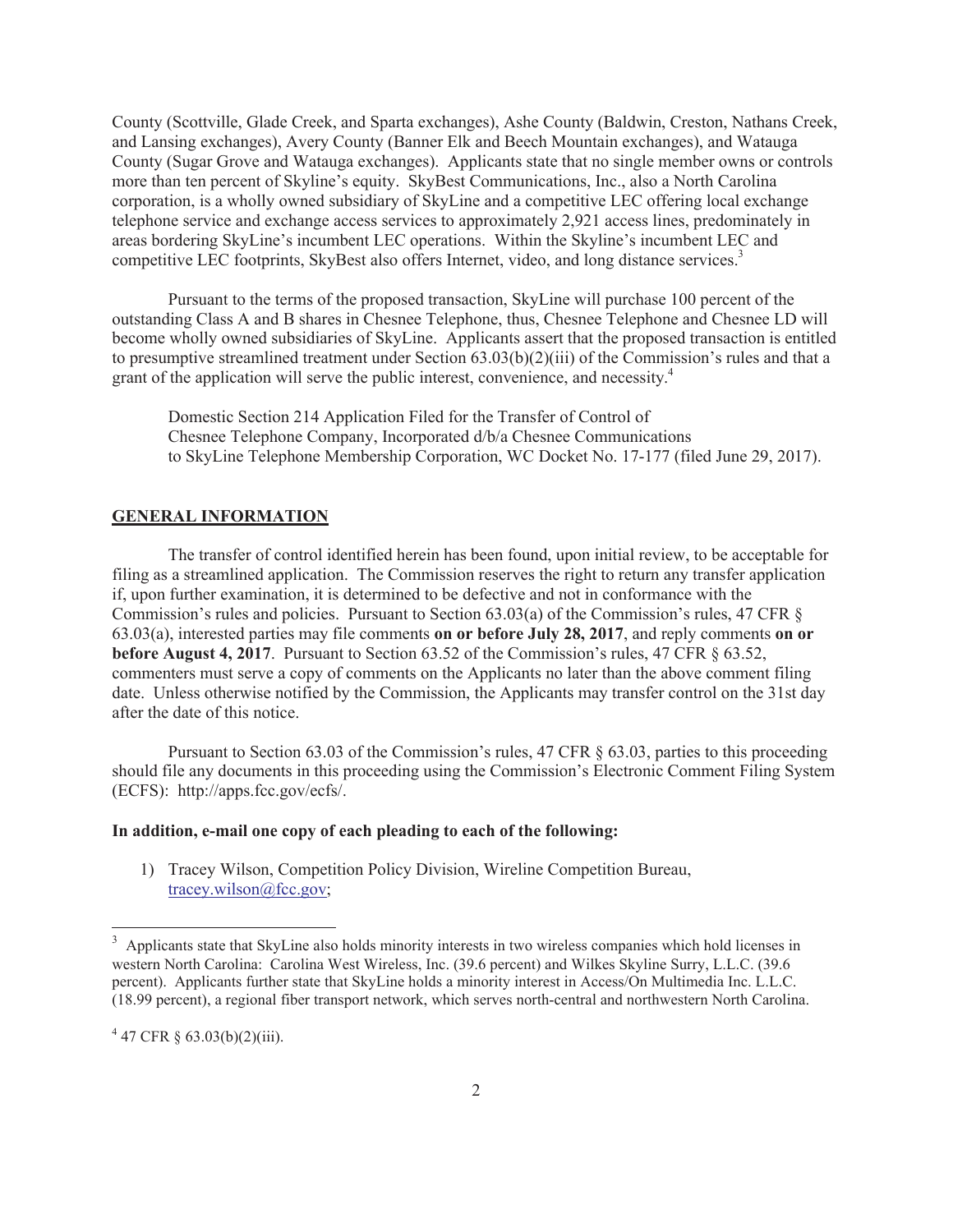County (Scottville, Glade Creek, and Sparta exchanges), Ashe County (Baldwin, Creston, Nathans Creek, and Lansing exchanges), Avery County (Banner Elk and Beech Mountain exchanges), and Watauga County (Sugar Grove and Watauga exchanges). Applicants state that no single member owns or controls more than ten percent of Skyline's equity. SkyBest Communications, Inc., also a North Carolina corporation, is a wholly owned subsidiary of SkyLine and a competitive LEC offering local exchange telephone service and exchange access services to approximately 2,921 access lines, predominately in areas bordering SkyLine's incumbent LEC operations. Within the Skyline's incumbent LEC and competitive LEC footprints, SkyBest also offers Internet, video, and long distance services.<sup>3</sup>

Pursuant to the terms of the proposed transaction, SkyLine will purchase 100 percent of the outstanding Class A and B shares in Chesnee Telephone, thus, Chesnee Telephone and Chesnee LD will become wholly owned subsidiaries of SkyLine. Applicants assert that the proposed transaction is entitled to presumptive streamlined treatment under Section 63.03(b)(2)(iii) of the Commission's rules and that a grant of the application will serve the public interest, convenience, and necessity. 4

Domestic Section 214 Application Filed for the Transfer of Control of Chesnee Telephone Company, Incorporated d/b/a Chesnee Communications to SkyLine Telephone Membership Corporation, WC Docket No. 17-177 (filed June 29, 2017).

# **GENERAL INFORMATION**

The transfer of control identified herein has been found, upon initial review, to be acceptable for filing as a streamlined application. The Commission reserves the right to return any transfer application if, upon further examination, it is determined to be defective and not in conformance with the Commission's rules and policies. Pursuant to Section 63.03(a) of the Commission's rules, 47 CFR § 63.03(a), interested parties may file comments **on or before July 28, 2017**, and reply comments **on or before August 4, 2017**. Pursuant to Section 63.52 of the Commission's rules, 47 CFR § 63.52, commenters must serve a copy of comments on the Applicants no later than the above comment filing date. Unless otherwise notified by the Commission, the Applicants may transfer control on the 31st day after the date of this notice.

Pursuant to Section 63.03 of the Commission's rules, 47 CFR § 63.03, parties to this proceeding should file any documents in this proceeding using the Commission's Electronic Comment Filing System (ECFS): http://apps.fcc.gov/ecfs/.

#### **In addition, e-mail one copy of each pleading to each of the following:**

1) Tracey Wilson, Competition Policy Division, Wireline Competition Bureau, tracey.wilson@fcc.gov;

<sup>&</sup>lt;sup>3</sup> Applicants state that SkyLine also holds minority interests in two wireless companies which hold licenses in western North Carolina: Carolina West Wireless, Inc. (39.6 percent) and Wilkes Skyline Surry, L.L.C. (39.6 percent). Applicants further state that SkyLine holds a minority interest in Access/On Multimedia Inc. L.L.C. (18.99 percent), a regional fiber transport network, which serves north-central and northwestern North Carolina.

 $4\,47$  CFR § 63.03(b)(2)(iii).